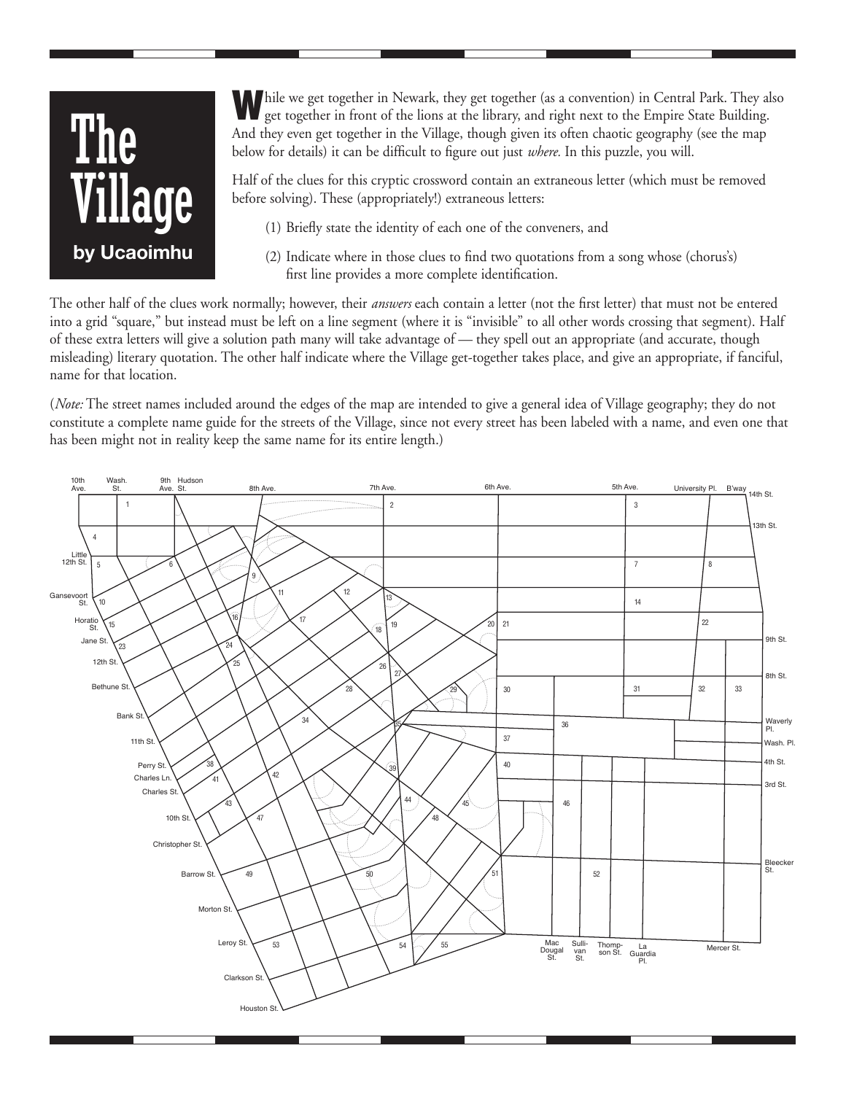## The Village  **by Ucaoimhu**

While we get together in Newark, they get together (as a convention) in Central Park. They also get together in front of the lions at the library, and right next to the Empire State Building. And they even get together in the Village, though given its often chaotic geography (see the map below for details) it can be difficult to figure out just *where.* In this puzzle, you will.

Half of the clues for this cryptic crossword contain an extraneous letter (which must be removed before solving). These (appropriately!) extraneous letters:

- (1) Briefly state the identity of each one of the conveners, and
- (2) Indicate where in those clues to find two quotations from a song whose (chorus's) first line provides a more complete identification.

The other half of the clues work normally; however, their *answers* each contain a letter (not the first letter) that must not be entered into a grid "square," but instead must be left on a line segment (where it is "invisible" to all other words crossing that segment). Half of these extra letters will give a solution path many will take advantage of — they spell out an appropriate (and accurate, though misleading) literary quotation. The other half indicate where the Village get-together takes place, and give an appropriate, if fanciful, name for that location.

(*Note:* The street names included around the edges of the map are intended to give a general idea of Village geography; they do not constitute a complete name guide for the streets of the Village, since not every street has been labeled with a name, and even one that has been might not in reality keep the same name for its entire length.)